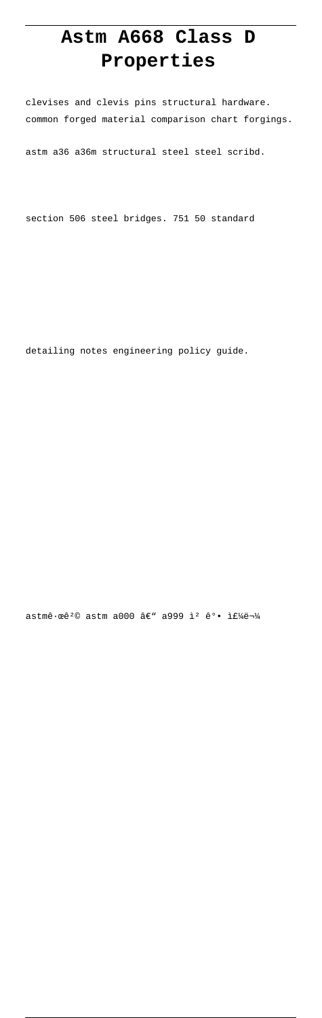## Astm A668 Class D Properties

clevises and clevis pins structural hardware. common forged material comparison chart forgings.

astm a36 a36m structural steel steel scribd.

section 506 steel bridges. 751 50 standard

detailing notes engineering policy guide.

astmê·œê<sup>2</sup>© astm a000 â€" a999 ì<sup>2</sup> ê°. 주물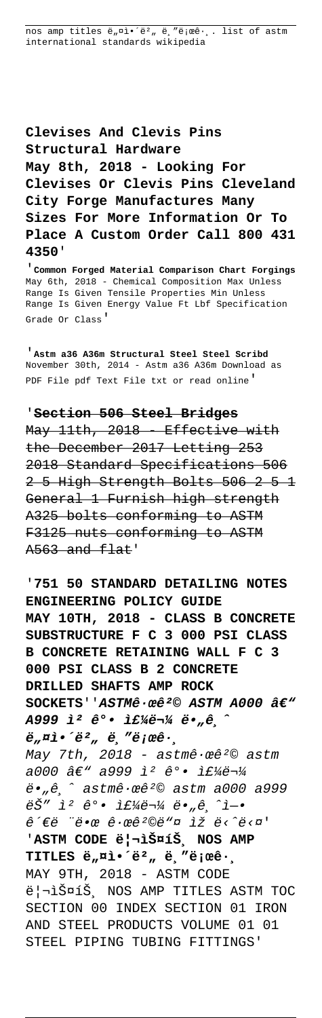nos amp titles ë, ¤ì.'ë2, ë, "ë; œê.,. list of astm international standards wikipedia

Clevises And Clevis Pins Structural Hardware May 8th, 2018 - Looking For Clevises Or Clevis Pins Cleveland City Forge Manufactures Many Sizes For More Information Or To Place A Custom Order Call 800 431 4350'

Common Forged Material Comparison Chart Forgings May 6th, 2018 - Chemical Composition Max Unless Range Is Given Tensile Properties Min Unless Range Is Given Energy Value Ft Lbf Specification Grade Or Class'

'Astm a36 A36m Structural Steel Steel Scribd November 30th, 2014 - Astm a36 A36m Download as PDF File pdf Text File txt or read online'

## 'Section 506 Steel Bridges

May 11th, 2018 Effective with the December 2017 Letting 253 2018 Standard Specifications 506 2 5 High Strength Bolts 506 2 5 1 General 1 Furnish high strength A325 bolts conforming to ASTM F3125 nuts conforming to ASTM A563 and flat'

## '751 50 STANDARD DETAILING NOTES

ENGINEERING POLICY GUIDE MAY 10TH, 2018 - CLASS B CONCRETE SUBSTRUCTURE F C 3 000 PSI CLASS B CONCRETE RETAINING WALL F C 3 000 PSI CLASS B 2 CONCRETE DRILLED SHAFTS AMP ROCK SOCKETS''ASTMê · œê<sup>2</sup>© ASTM A000 â€" A999  $i^2$   $e^o \cdot i f'_{A} e^{-1}$   $e^o$   $e^o$  $\ddot{e}_n$ ¤ì•´ë², ë,"로ê $\cdot$ , May 7th, 2018 - astmê. cê<sup>2</sup>© astm a000 â€" a999 ì<sup>2</sup> ê°. 주물  $\ddot{e}$ ,  $\hat{e}$   $\hat{e}$  astmê·œê<sup>2</sup>© astm a000 a999 ëŠ" ì<sup>2</sup> ê°. if¼ë¬¼ ë."ê,^ì-. ê´€ë "땜 ꕜ꺩ë"¤ ìž ë<^ë<¤' 'ASTM CODE ë|¬ìФíŠ, NOS AMP TITLES  $e_n$ ni.  $e^2$ ,  $e^2$ , "e i xe. MAY 9TH, 2018 - ASTM CODE 리스íŠ, NOS AMP TITLES ASTM TOC SECTION 00 INDEX SECTION 01 IRON AND STEEL PRODUCTS VOLUME 01 01 STEEL PIPING TUBING FITTINGS'